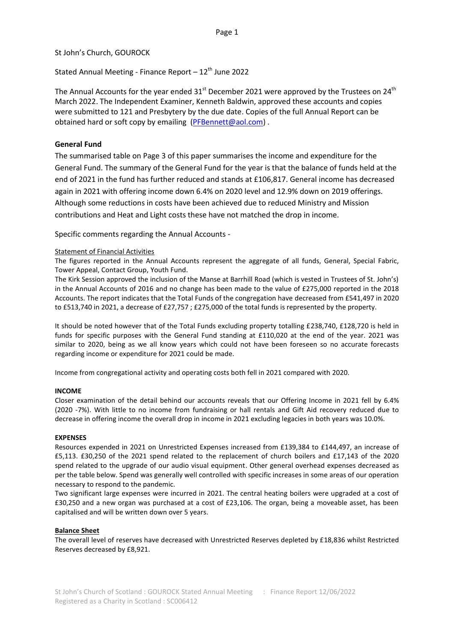## St John's Church, GOUROCK

Stated Annual Meeting - Finance Report  $-12^{th}$  June 2022

The Annual Accounts for the year ended  $31<sup>st</sup>$  December 2021 were approved by the Trustees on 24<sup>th</sup> March 2022. The Independent Examiner, Kenneth Baldwin, approved these accounts and copies were submitted to 121 and Presbytery by the due date. Copies of the full Annual Report can be obtained hard or soft copy by emailing [\(PFBennett@aol.com\)](mailto:PFBennett@aol.com).

# **General Fund**

The summarised table on Page 3 of this paper summarises the income and expenditure for the General Fund. The summary of the General Fund for the year is that the balance of funds held at the end of 2021 in the fund has further reduced and stands at £106,817. General income has decreased again in 2021 with offering income down 6.4% on 2020 level and 12.9% down on 2019 offerings. Although some reductions in costs have been achieved due to reduced Ministry and Mission contributions and Heat and Light costs these have not matched the drop in income.

Specific comments regarding the Annual Accounts -

### Statement of Financial Activities

The figures reported in the Annual Accounts represent the aggregate of all funds, General, Special Fabric, Tower Appeal, Contact Group, Youth Fund.

The Kirk Session approved the inclusion of the Manse at Barrhill Road (which is vested in Trustees of St. John's) in the Annual Accounts of 2016 and no change has been made to the value of £275,000 reported in the 2018 Accounts. The report indicates that the Total Funds of the congregation have decreased from £541,497 in 2020 to £513,740 in 2021, a decrease of £27,757 ; £275,000 of the total funds is represented by the property.

It should be noted however that of the Total Funds excluding property totalling £238,740, £128,720 is held in funds for specific purposes with the General Fund standing at £110,020 at the end of the year. 2021 was similar to 2020, being as we all know years which could not have been foreseen so no accurate forecasts regarding income or expenditure for 2021 could be made.

Income from congregational activity and operating costs both fell in 2021 compared with 2020.

#### **INCOME**

Closer examination of the detail behind our accounts reveals that our Offering Income in 2021 fell by 6.4% (2020 -7%). With little to no income from fundraising or hall rentals and Gift Aid recovery reduced due to decrease in offering income the overall drop in income in 2021 excluding legacies in both years was 10.0%.

#### **EXPENSES**

Resources expended in 2021 on Unrestricted Expenses increased from £139,384 to £144,497, an increase of £5,113. £30,250 of the 2021 spend related to the replacement of church boilers and £17,143 of the 2020 spend related to the upgrade of our audio visual equipment. Other general overhead expenses decreased as per the table below. Spend was generally well controlled with specific increases in some areas of our operation necessary to respond to the pandemic.

Two significant large expenses were incurred in 2021. The central heating boilers were upgraded at a cost of £30,250 and a new organ was purchased at a cost of £23,106. The organ, being a moveable asset, has been capitalised and will be written down over 5 years.

#### **Balance Sheet**

The overall level of reserves have decreased with Unrestricted Reserves depleted by £18,836 whilst Restricted Reserves decreased by £8,921.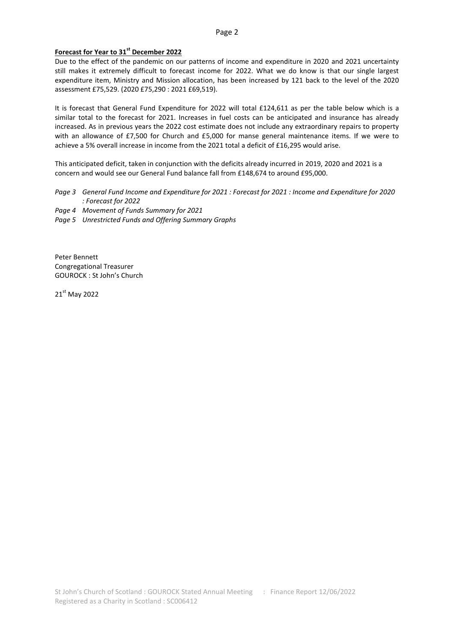### **Forecast for Year to 31st December 2022**

Due to the effect of the pandemic on our patterns of income and expenditure in 2020 and 2021 uncertainty still makes it extremely difficult to forecast income for 2022. What we do know is that our single largest expenditure item, Ministry and Mission allocation, has been increased by 121 back to the level of the 2020 assessment £75,529. (2020 £75,290 : 2021 £69,519).

It is forecast that General Fund Expenditure for 2022 will total £124,611 as per the table below which is a similar total to the forecast for 2021. Increases in fuel costs can be anticipated and insurance has already increased. As in previous years the 2022 cost estimate does not include any extraordinary repairs to property with an allowance of £7,500 for Church and £5,000 for manse general maintenance items. If we were to achieve a 5% overall increase in income from the 2021 total a deficit of £16,295 would arise.

This anticipated deficit, taken in conjunction with the deficits already incurred in 2019, 2020 and 2021 is a concern and would see our General Fund balance fall from £148,674 to around £95,000.

*Page 3 General Fund Income and Expenditure for 2021 : Forecast for 2021 : Income and Expenditure for 2020 : Forecast for 2022*

*Page 4 Movement of Funds Summary for 2021*

*Page 5 Unrestricted Funds and Offering Summary Graphs*

Peter Bennett Congregational Treasurer GOUROCK : St John's Church

21st May 2022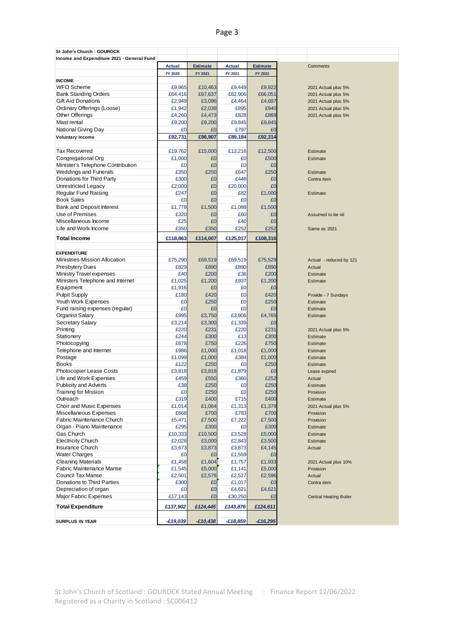# Page 3

| St John's Church: GOUROCK                  |               |                 |               |                 |                               |
|--------------------------------------------|---------------|-----------------|---------------|-----------------|-------------------------------|
| Income and Expenditure 2021 - General Fund |               |                 |               |                 |                               |
|                                            | <b>Actual</b> | <b>Estimate</b> | <b>Actual</b> | <b>Estimate</b> | Comments                      |
|                                            | FY 2020       | FY 2021         | FY 2021       | FY 2022         |                               |
| <b>INCOME</b>                              |               |                 |               |                 |                               |
| <b>WFO</b> Scheme                          | £9,965        | £10,463         | £9.449        | £9,922          | 2021 Actual plus 5%           |
| <b>Bank Standing Orders</b>                | £64,416       | £67,637         | £62,906       | £66,051         | 2021 Actual plus 5%           |
| <b>Gift Aid Donations</b>                  | £2,949        | £3,096          | £4,464        | £4.687          | 2021 Actual plus 5%           |
| Ordinary Offerings (Loose)                 | £1,942        | £2,039          | £895          | £940            | 2021 Actual plus 5%           |
| Other Offerings                            | £4,260        | £4,473          | £828          | £869            | 2021 Actual plus 5%           |
| Mast rental                                | £9,200        | £9,200          | £9,845        | £9,845          |                               |
| National Giving Day                        | £0            | £0              | £797          | £0              |                               |
| <b>Voluntary Income</b>                    | £92,731       | £96,907         | £89,184       | £92,314         |                               |
|                                            |               |                 |               |                 |                               |
| <b>Tax Recovered</b>                       |               |                 |               |                 |                               |
| Congregational Org                         | £19,762       | £15,000         | £13,216       | £12,500         | Estimate                      |
|                                            | £1,000        | £0              | £0            | £500            | Estimate                      |
| Minister's Telephone Contribution          | £0            | £0              | £0            | £0              |                               |
| <b>Weddings and Funerals</b>               | £350          | £250            | £647          | £250            | Estimate                      |
| Donations for Third Party                  | £300          | £0              | £448          | £0              | Contra item                   |
| Unrestricted Legacy                        | £2,000        | £0              | £20,000       | £0              |                               |
| Regular Fund Raising                       | £247          | £0              | £82           | £1,000          | Estimate                      |
| <b>Book Sales</b>                          | £0            | £0              | £0            | £0              |                               |
| <b>Bank and Deposit Interest</b>           | £1,778        | £1,500          | £1,088        | £1,500          |                               |
| Use of Premises                            | £320          | £0              | £60           | £0              | Assumed to be nil             |
| Miscellaneous Income                       | £25           | £0              | £40           | £0              |                               |
| Life and Work Income                       | £350          | £350            | £252          | £252            | Same as 2021                  |
| <b>Total Income</b>                        | £118,863      | £114,007        | £125,017      | £108,316        |                               |
|                                            |               |                 |               |                 |                               |
| <b>EXPENDITURE</b>                         |               |                 |               |                 |                               |
| Ministries-Mission Allocation              | £75,290       | £69,519         | £69,519       | £75,529         |                               |
|                                            |               |                 |               |                 | Actual - reduced by 121       |
| <b>Presbytery Dues</b>                     | £829          | £890            | £890          | £890            | Actual                        |
| Ministry Travel expenses                   | £40           | £200            | £36           | £200            | Estimate                      |
| Ministers Telephone and Internet           | £1,025        | £1,200          | £937          | £1,200          | Estimate                      |
| Equipment                                  | £1,916        | £0              | £0            | £0              |                               |
| <b>Pulpit Supply</b>                       | £180          | £420            | £0            | £420            | Provide - 7 Sundays           |
| Youth Work Expenses                        | £0            | £250            | £0            | £250            | Estimate                      |
| Fund raising expenses (regular)            | £0            | £0              | £0            | £0              | Estimate                      |
| <b>Organist Salary</b>                     | £995          | £3,750          | £3,906        | £4,765          | Estimate                      |
| <b>Secretary Salary</b>                    | £3,214        | £3,300          | £1,339        | £0              |                               |
| Printing                                   | £220          | £231            | £220          | £231            | 2021 Actual plus 5%           |
| Stationery                                 | £244          | £300            | £13           | £300            | Estimate                      |
| Photocopying                               | £678          | £750            | £226          | £750            | Estimate                      |
| Telephone and Internet                     | £986          | £1,000          | £1,018        | £1,000          | Estimate                      |
| Postage                                    | £1,099        | £1,000          | £384          | £1,000          | Estimate                      |
| <b>Books</b>                               | £122          | £250            | £0            | £250            | Estimate                      |
| Photocopier Lease Costs                    | £3.818        | £3,818          | £1,879        | £0              | Lease expired                 |
| Life and Work Expenses                     | £459          | £550            | £360          | £252            | Actual                        |
| <b>Publicity and Adverts</b>               | £38           | £250            | £0            | £250            | Estimate                      |
| <b>Training for Mission</b>                | £O            | £250            | £O            | £250            | Provision                     |
| Outreach                                   | £319          | £400            | £715          | £400            | Estimate                      |
| Choir and Music Expenses                   | £1,014        | £1,064          | £1,313        | £1,379          | 2021 Actual plus 5%           |
| Miscellaneous Expenses                     | £668          | £700            | £783          | £700            | Provision                     |
| Fabric Maintenance Church                  | £5,471        | £7,500          | £7,222        | £7,500          | Provision                     |
| Organ - Piano Maintenance                  | £295          | £300            | £0            | £300            | Estimate                      |
| Gas Church                                 | £10,333       | £10,500         | £3,528        | £5,000          | Estimate                      |
| <b>Electricity Church</b>                  | £2,028        | £3,000          | £2,843        | £3,500          | Estimate                      |
| <b>Insurance Church</b>                    | £3,673        | £3,873          | £3,873        | £4,145          | Actual                        |
| <b>Water Charges</b>                       | £0            | £0              | £1,559        | £0              |                               |
| <b>Cleaning Materials</b>                  | £1,458        | £1,604          | £1,757        | £1,933          | 2021 Actual plus 10%          |
| Fabric Maintenance Manse                   | £1,545        | £5,000          | £1,141        | £5,000          | Provision                     |
| Council Tax Manse                          | £2,501        | £2,576          | £2,527        | £2,596          | Actual                        |
| Donations to Third Parties                 | £300          | £0              | £1,017        | £0              | Contra item                   |
| Depreciation of organ                      | £0            | £0              | £4,621        | £4,621          |                               |
| Major Fabric Expenses                      | £17,143       | £0              | £30,250       | £0              | <b>Central Heating Boiler</b> |
|                                            |               |                 |               |                 |                               |
| <b>Total Expenditure</b>                   | £137,902      | £124,445        | £143,876      | £124,611        |                               |
|                                            |               |                 |               |                 |                               |
| <b>SURPLUS IN YEAR</b>                     | $-£19,039$    | $-£10,438$      | $-£18,859$    | $-£16,295$      |                               |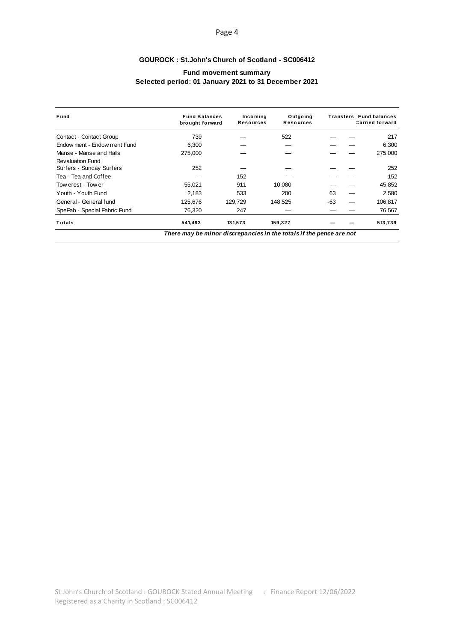### Page 4

# **GOUROCK: St.John's Church of Scotland - SC006412**

## **Fund movement summary** Selected period: 01 January 2021 to 31 December 2021

| Fund                                                                | <b>Fund Balances</b><br>brought forward | Incoming<br><b>Resources</b> | Outgoing<br><b>Resources</b> |     | <b>Transfers</b> Fund balances<br><b>Carried forward</b> |  |  |  |  |
|---------------------------------------------------------------------|-----------------------------------------|------------------------------|------------------------------|-----|----------------------------------------------------------|--|--|--|--|
| Contact - Contact Group                                             | 739                                     |                              | 522                          |     | 217                                                      |  |  |  |  |
| Endow ment - Endow ment Fund                                        | 6,300                                   |                              |                              |     | 6,300                                                    |  |  |  |  |
| Manse - Manse and Halls                                             | 275,000                                 |                              |                              |     | 275,000                                                  |  |  |  |  |
| <b>Revaluation Fund</b><br>Surfers - Sunday Surfers                 | 252                                     |                              |                              |     | 252                                                      |  |  |  |  |
| Tea - Tea and Coffee                                                |                                         | 152                          |                              |     | 152                                                      |  |  |  |  |
| Tow erest - Tow er                                                  | 55,021                                  | 911                          | 10,080                       |     | 45,852                                                   |  |  |  |  |
| Youth - Youth Fund                                                  | 2.183                                   | 533                          | 200                          | 63  | 2,580                                                    |  |  |  |  |
| General - General fund                                              | 125,676                                 | 129,729                      | 148,525                      | -63 | 106,817                                                  |  |  |  |  |
| SpeFab - Special Fabric Fund                                        | 76,320                                  | 247                          |                              |     | 76,567                                                   |  |  |  |  |
| Totals                                                              | 541,493                                 | 131,573                      | 159,327                      |     | 513,739                                                  |  |  |  |  |
| There may be minor discrepancies in the totals if the pence are not |                                         |                              |                              |     |                                                          |  |  |  |  |